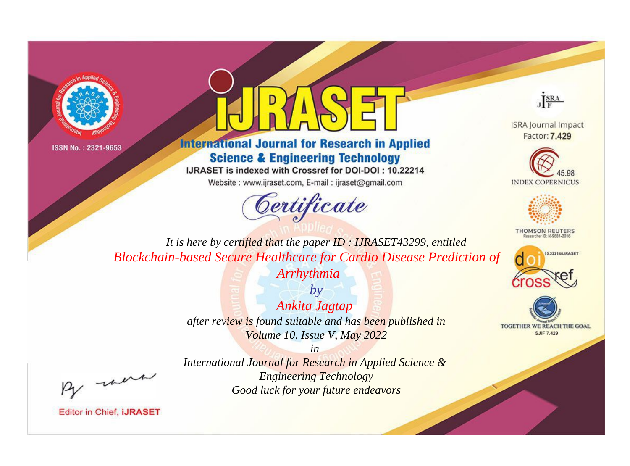



### **International Journal for Research in Applied Science & Engineering Technology**

IJRASET is indexed with Crossref for DOI-DOI: 10.22214

Website: www.ijraset.com, E-mail: ijraset@gmail.com





**ISRA Journal Impact** Factor: 7.429





**THOMSON REUTERS** 



TOGETHER WE REACH THE GOAL **SJIF 7.429** 

*It is here by certified that the paper ID : IJRASET43299, entitled Blockchain-based Secure Healthcare for Cardio Disease Prediction of Arrhythmia*

> *by Ankita Jagtap after review is found suitable and has been published in Volume 10, Issue V, May 2022*

, un

*International Journal for Research in Applied Science & Engineering Technology Good luck for your future endeavors*

*in*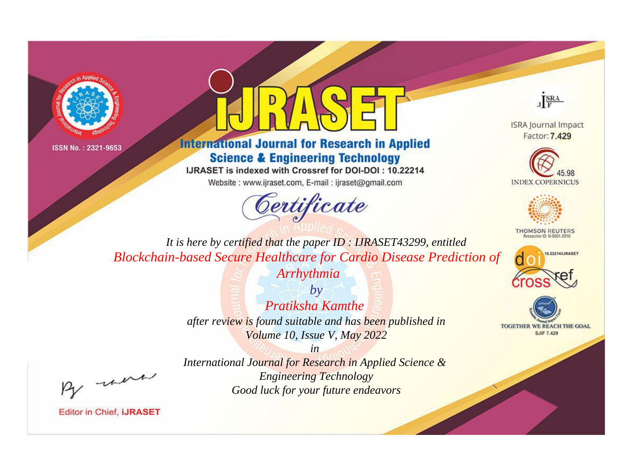



# **International Journal for Research in Applied Science & Engineering Technology**

IJRASET is indexed with Crossref for DOI-DOI: 10.22214

Website: www.ijraset.com, E-mail: ijraset@gmail.com





**ISRA Journal Impact** Factor: 7.429





**THOMSON REUTERS** 



TOGETHER WE REACH THE GOAL **SJIF 7.429** 

*It is here by certified that the paper ID : IJRASET43299, entitled Blockchain-based Secure Healthcare for Cardio Disease Prediction of* 

*Arrhythmia*

*by Pratiksha Kamthe after review is found suitable and has been published in Volume 10, Issue V, May 2022*

, un

*International Journal for Research in Applied Science & Engineering Technology Good luck for your future endeavors*

*in*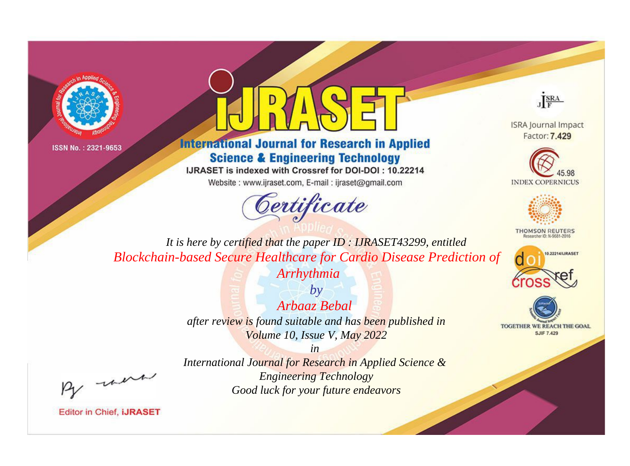



# **International Journal for Research in Applied Science & Engineering Technology**

IJRASET is indexed with Crossref for DOI-DOI: 10.22214

Website: www.ijraset.com, E-mail: ijraset@gmail.com





**ISRA Journal Impact** Factor: 7.429





**THOMSON REUTERS** 



TOGETHER WE REACH THE GOAL **SJIF 7.429** 

*It is here by certified that the paper ID : IJRASET43299, entitled Blockchain-based Secure Healthcare for Cardio Disease Prediction of* 

*Arrhythmia*

*by Arbaaz Bebal after review is found suitable and has been published in Volume 10, Issue V, May 2022*

were

*International Journal for Research in Applied Science & Engineering Technology Good luck for your future endeavors*

*in*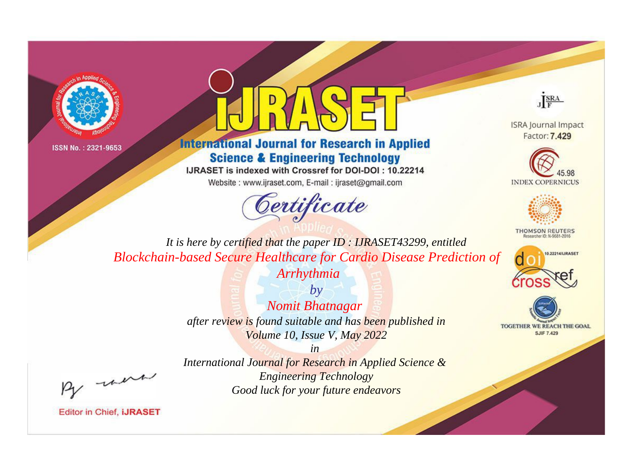



### **International Journal for Research in Applied Science & Engineering Technology**

IJRASET is indexed with Crossref for DOI-DOI: 10.22214

Website: www.ijraset.com, E-mail: ijraset@gmail.com





**ISRA Journal Impact** Factor: 7.429





**THOMSON REUTERS** 



TOGETHER WE REACH THE GOAL **SJIF 7.429** 

*It is here by certified that the paper ID : IJRASET43299, entitled Blockchain-based Secure Healthcare for Cardio Disease Prediction of* 

*Arrhythmia*

*by Nomit Bhatnagar after review is found suitable and has been published in Volume 10, Issue V, May 2022*

were

*International Journal for Research in Applied Science & Engineering Technology Good luck for your future endeavors*

*in*